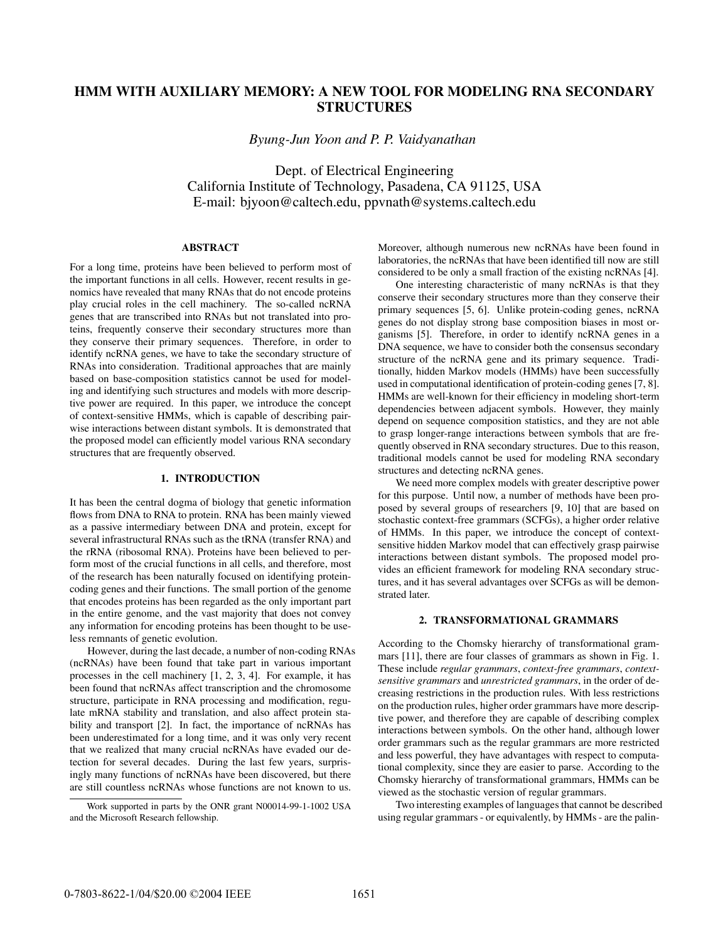# **HMM WITH AUXILIARY MEMORY: A NEW TOOL FOR MODELING RNA SECONDARY STRUCTURES**

*Byung-Jun Yoon and P. P. Vaidyanathan*

Dept. of Electrical Engineering California Institute of Technology, Pasadena, CA 91125, USA E-mail: bjyoon@caltech.edu, ppvnath@systems.caltech.edu

## **ABSTRACT**

For a long time, proteins have been believed to perform most of the important functions in all cells. However, recent results in genomics have revealed that many RNAs that do not encode proteins play crucial roles in the cell machinery. The so-called ncRNA genes that are transcribed into RNAs but not translated into proteins, frequently conserve their secondary structures more than they conserve their primary sequences. Therefore, in order to identify ncRNA genes, we have to take the secondary structure of RNAs into consideration. Traditional approaches that are mainly based on base-composition statistics cannot be used for modeling and identifying such structures and models with more descriptive power are required. In this paper, we introduce the concept of context-sensitive HMMs, which is capable of describing pairwise interactions between distant symbols. It is demonstrated that the proposed model can efficiently model various RNA secondary structures that are frequently observed.

### **1. INTRODUCTION**

It has been the central dogma of biology that genetic information flows from DNA to RNA to protein. RNA has been mainly viewed as a passive intermediary between DNA and protein, except for several infrastructural RNAs such as the tRNA (transfer RNA) and the rRNA (ribosomal RNA). Proteins have been believed to perform most of the crucial functions in all cells, and therefore, most of the research has been naturally focused on identifying proteincoding genes and their functions. The small portion of the genome that encodes proteins has been regarded as the only important part in the entire genome, and the vast majority that does not convey any information for encoding proteins has been thought to be useless remnants of genetic evolution.

However, during the last decade, a number of non-coding RNAs (ncRNAs) have been found that take part in various important processes in the cell machinery [1, 2, 3, 4]. For example, it has been found that ncRNAs affect transcription and the chromosome structure, participate in RNA processing and modification, regulate mRNA stability and translation, and also affect protein stability and transport [2]. In fact, the importance of ncRNAs has been underestimated for a long time, and it was only very recent that we realized that many crucial ncRNAs have evaded our detection for several decades. During the last few years, surprisingly many functions of ncRNAs have been discovered, but there are still countless ncRNAs whose functions are not known to us.

Moreover, although numerous new ncRNAs have been found in laboratories, the ncRNAs that have been identified till now are still considered to be only a small fraction of the existing ncRNAs [4].

One interesting characteristic of many ncRNAs is that they conserve their secondary structures more than they conserve their primary sequences [5, 6]. Unlike protein-coding genes, ncRNA genes do not display strong base composition biases in most organisms [5]. Therefore, in order to identify ncRNA genes in a DNA sequence, we have to consider both the consensus secondary structure of the ncRNA gene and its primary sequence. Traditionally, hidden Markov models (HMMs) have been successfully used in computational identification of protein-coding genes [7, 8]. HMMs are well-known for their efficiency in modeling short-term dependencies between adjacent symbols. However, they mainly depend on sequence composition statistics, and they are not able to grasp longer-range interactions between symbols that are frequently observed in RNA secondary structures. Due to this reason, traditional models cannot be used for modeling RNA secondary structures and detecting ncRNA genes.

We need more complex models with greater descriptive power for this purpose. Until now, a number of methods have been proposed by several groups of researchers [9, 10] that are based on stochastic context-free grammars (SCFGs), a higher order relative of HMMs. In this paper, we introduce the concept of contextsensitive hidden Markov model that can effectively grasp pairwise interactions between distant symbols. The proposed model provides an efficient framework for modeling RNA secondary structures, and it has several advantages over SCFGs as will be demonstrated later.

#### **2. TRANSFORMATIONAL GRAMMARS**

According to the Chomsky hierarchy of transformational grammars [11], there are four classes of grammars as shown in Fig. 1. These include *regular grammars*, *context-free grammars*, *contextsensitive grammars* and *unrestricted grammars*, in the order of decreasing restrictions in the production rules. With less restrictions on the production rules, higher order grammars have more descriptive power, and therefore they are capable of describing complex interactions between symbols. On the other hand, although lower order grammars such as the regular grammars are more restricted and less powerful, they have advantages with respect to computational complexity, since they are easier to parse. According to the Chomsky hierarchy of transformational grammars, HMMs can be viewed as the stochastic version of regular grammars.

Two interesting examples of languages that cannot be described using regular grammars - or equivalently, by HMMs - are the palin-

Work supported in parts by the ONR grant N00014-99-1-1002 USA and the Microsoft Research fellowship.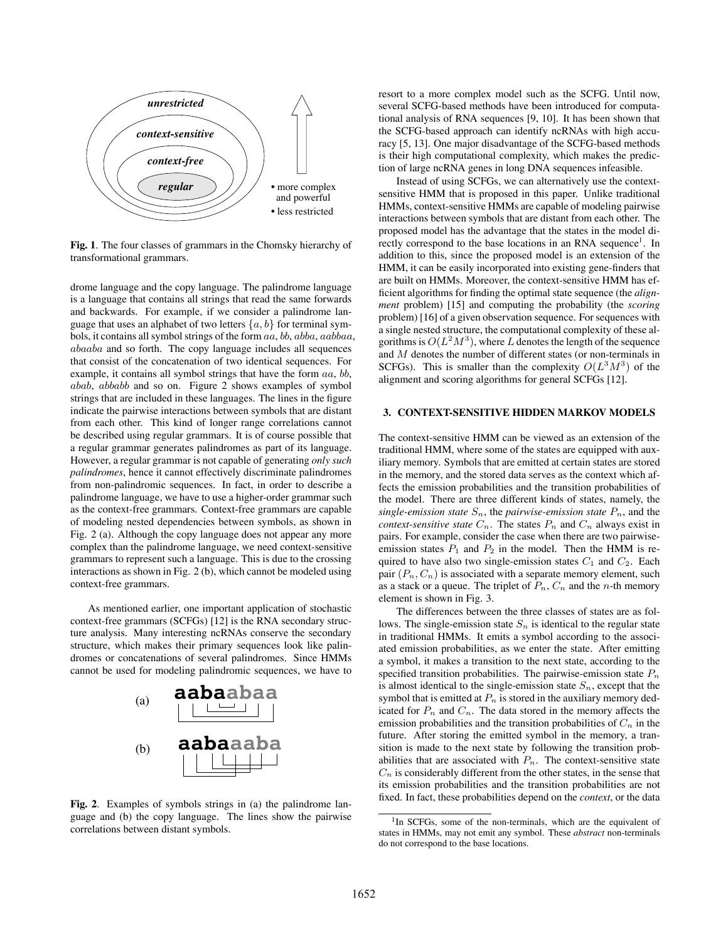

**Fig. 1**. The four classes of grammars in the Chomsky hierarchy of transformational grammars.

drome language and the copy language. The palindrome language is a language that contains all strings that read the same forwards and backwards. For example, if we consider a palindrome language that uses an alphabet of two letters  $\{a, b\}$  for terminal symbols, it contains all symbol strings of the form aa, bb, abba, aabbaa, abaaba and so forth. The copy language includes all sequences that consist of the concatenation of two identical sequences. For example, it contains all symbol strings that have the form  $aa$ ,  $bb$ , abab, abbabb and so on. Figure 2 shows examples of symbol strings that are included in these languages. The lines in the figure indicate the pairwise interactions between symbols that are distant from each other. This kind of longer range correlations cannot be described using regular grammars. It is of course possible that a regular grammar generates palindromes as part of its language. However, a regular grammar is not capable of generating *only such palindromes*, hence it cannot effectively discriminate palindromes from non-palindromic sequences. In fact, in order to describe a palindrome language, we have to use a higher-order grammar such as the context-free grammars. Context-free grammars are capable of modeling nested dependencies between symbols, as shown in Fig. 2 (a). Although the copy language does not appear any more complex than the palindrome language, we need context-sensitive grammars to represent such a language. This is due to the crossing interactions as shown in Fig. 2 (b), which cannot be modeled using context-free grammars.

As mentioned earlier, one important application of stochastic context-free grammars (SCFGs) [12] is the RNA secondary structure analysis. Many interesting ncRNAs conserve the secondary structure, which makes their primary sequences look like palindromes or concatenations of several palindromes. Since HMMs cannot be used for modeling palindromic sequences, we have to



**Fig. 2**. Examples of symbols strings in (a) the palindrome language and (b) the copy language. The lines show the pairwise correlations between distant symbols.

resort to a more complex model such as the SCFG. Until now, several SCFG-based methods have been introduced for computational analysis of RNA sequences [9, 10]. It has been shown that the SCFG-based approach can identify ncRNAs with high accuracy [5, 13]. One major disadvantage of the SCFG-based methods is their high computational complexity, which makes the prediction of large ncRNA genes in long DNA sequences infeasible.

Instead of using SCFGs, we can alternatively use the contextsensitive HMM that is proposed in this paper. Unlike traditional HMMs, context-sensitive HMMs are capable of modeling pairwise interactions between symbols that are distant from each other. The proposed model has the advantage that the states in the model directly correspond to the base locations in an RNA sequence<sup>1</sup>. In addition to this, since the proposed model is an extension of the HMM, it can be easily incorporated into existing gene-finders that are built on HMMs. Moreover, the context-sensitive HMM has efficient algorithms for finding the optimal state sequence (the *alignment* problem) [15] and computing the probability (the *scoring* problem) [16] of a given observation sequence. For sequences with a single nested structure, the computational complexity of these algorithms is  $O(L^2M^3)$ , where L denotes the length of the sequence and M denotes the number of different states (or non-terminals in SCFGs). This is smaller than the complexity  $O(L^3M^3)$  of the alignment and scoring algorithms for general SCFGs [12].

## **3. CONTEXT-SENSITIVE HIDDEN MARKOV MODELS**

The context-sensitive HMM can be viewed as an extension of the traditional HMM, where some of the states are equipped with auxiliary memory. Symbols that are emitted at certain states are stored in the memory, and the stored data serves as the context which affects the emission probabilities and the transition probabilities of the model. There are three different kinds of states, namely, the *single-emission state*  $S_n$ , the *pairwise-emission state*  $P_n$ , and the *context-sensitive state*  $C_n$ . The states  $P_n$  and  $C_n$  always exist in pairs. For example, consider the case when there are two pairwiseemission states  $P_1$  and  $P_2$  in the model. Then the HMM is required to have also two single-emission states  $C_1$  and  $C_2$ . Each pair  $(P_n, C_n)$  is associated with a separate memory element, such as a stack or a queue. The triplet of  $P_n$ ,  $C_n$  and the *n*-th memory element is shown in Fig. 3.

The differences between the three classes of states are as follows. The single-emission state  $S_n$  is identical to the regular state in traditional HMMs. It emits a symbol according to the associated emission probabilities, as we enter the state. After emitting a symbol, it makes a transition to the next state, according to the specified transition probabilities. The pairwise-emission state  $P_n$ is almost identical to the single-emission state  $S_n$ , except that the symbol that is emitted at  $P_n$  is stored in the auxiliary memory dedicated for  $P_n$  and  $C_n$ . The data stored in the memory affects the emission probabilities and the transition probabilities of  $C_n$  in the future. After storing the emitted symbol in the memory, a transition is made to the next state by following the transition probabilities that are associated with  $P_n$ . The context-sensitive state  $C_n$  is considerably different from the other states, in the sense that its emission probabilities and the transition probabilities are not fixed. In fact, these probabilities depend on the *context*, or the data

<sup>&</sup>lt;sup>1</sup>In SCFGs, some of the non-terminals, which are the equivalent of states in HMMs, may not emit any symbol. These *abstract* non-terminals do not correspond to the base locations.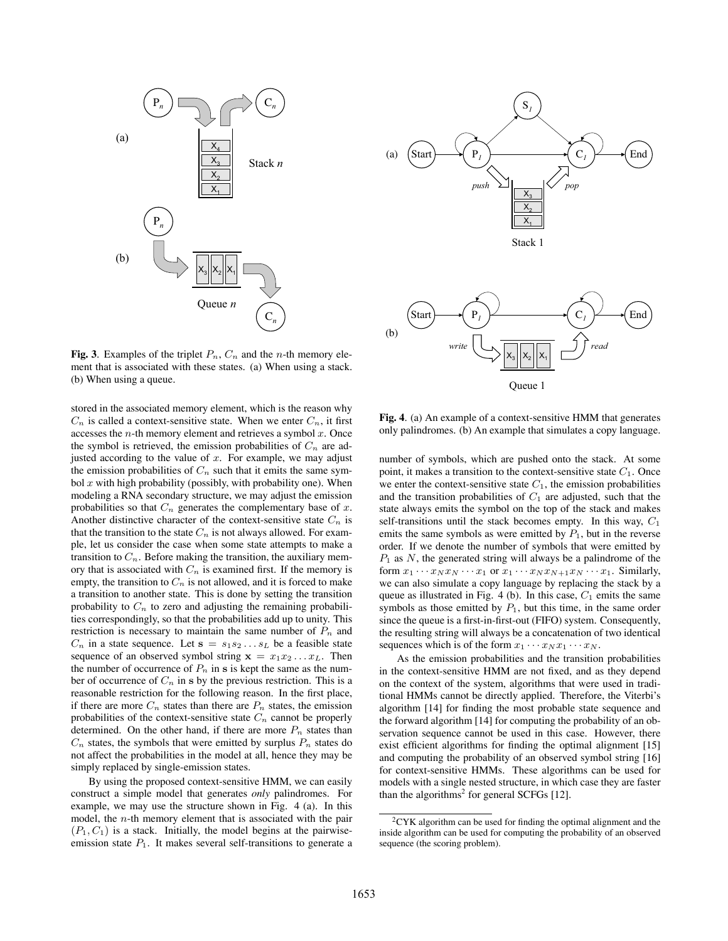

**Fig. 3**. Examples of the triplet  $P_n$ ,  $C_n$  and the *n*-th memory element that is associated with these states. (a) When using a stack. (b) When using a queue.

stored in the associated memory element, which is the reason why  $C_n$  is called a context-sensitive state. When we enter  $C_n$ , it first accesses the  $n$ -th memory element and retrieves a symbol  $x$ . Once the symbol is retrieved, the emission probabilities of  $C_n$  are adjusted according to the value of  $x$ . For example, we may adjust the emission probabilities of  $C_n$  such that it emits the same symbol  $x$  with high probability (possibly, with probability one). When modeling a RNA secondary structure, we may adjust the emission probabilities so that  $C_n$  generates the complementary base of  $x$ . Another distinctive character of the context-sensitive state  $C_n$  is that the transition to the state  $C_n$  is not always allowed. For example, let us consider the case when some state attempts to make a transition to  $C_n$ . Before making the transition, the auxiliary memory that is associated with  $C_n$  is examined first. If the memory is empty, the transition to  $C_n$  is not allowed, and it is forced to make a transition to another state. This is done by setting the transition probability to  $C_n$  to zero and adjusting the remaining probabilities correspondingly, so that the probabilities add up to unity. This restriction is necessary to maintain the same number of  $P_n$  and  $C_n$  in a state sequence. Let  $\mathbf{s} = s_1 s_2 \dots s_L$  be a feasible state sequence of an observed symbol string  $x = x_1 x_2 ... x_L$ . Then the number of occurrence of  $P_n$  in s is kept the same as the number of occurrence of  $C_n$  in s by the previous restriction. This is a reasonable restriction for the following reason. In the first place, if there are more  $C_n$  states than there are  $P_n$  states, the emission probabilities of the context-sensitive state  $C_n$  cannot be properly determined. On the other hand, if there are more  $P_n$  states than  $C_n$  states, the symbols that were emitted by surplus  $P_n$  states do not affect the probabilities in the model at all, hence they may be simply replaced by single-emission states.

By using the proposed context-sensitive HMM, we can easily construct a simple model that generates *only* palindromes. For example, we may use the structure shown in Fig. 4 (a). In this model, the n-th memory element that is associated with the pair  $(P_1, C_1)$  is a stack. Initially, the model begins at the pairwiseemission state  $P_1$ . It makes several self-transitions to generate a



Queue 1

**Fig. 4**. (a) An example of a context-sensitive HMM that generates only palindromes. (b) An example that simulates a copy language.

number of symbols, which are pushed onto the stack. At some point, it makes a transition to the context-sensitive state  $C_1$ . Once we enter the context-sensitive state  $C_1$ , the emission probabilities and the transition probabilities of  $C_1$  are adjusted, such that the state always emits the symbol on the top of the stack and makes self-transitions until the stack becomes empty. In this way,  $C_1$ emits the same symbols as were emitted by  $P_1$ , but in the reverse order. If we denote the number of symbols that were emitted by  $P_1$  as N, the generated string will always be a palindrome of the form  $x_1 \cdots x_N x_N \cdots x_1$  or  $x_1 \cdots x_N x_{N+1} x_N \cdots x_1$ . Similarly, we can also simulate a copy language by replacing the stack by a queue as illustrated in Fig. 4 (b). In this case,  $C_1$  emits the same symbols as those emitted by  $P_1$ , but this time, in the same order since the queue is a first-in-first-out (FIFO) system. Consequently, the resulting string will always be a concatenation of two identical sequences which is of the form  $x_1 \cdots x_N x_1 \cdots x_N$ .

As the emission probabilities and the transition probabilities in the context-sensitive HMM are not fixed, and as they depend on the context of the system, algorithms that were used in traditional HMMs cannot be directly applied. Therefore, the Viterbi's algorithm [14] for finding the most probable state sequence and the forward algorithm [14] for computing the probability of an observation sequence cannot be used in this case. However, there exist efficient algorithms for finding the optimal alignment [15] and computing the probability of an observed symbol string [16] for context-sensitive HMMs. These algorithms can be used for models with a single nested structure, in which case they are faster than the algorithms<sup>2</sup> for general SCFGs  $[12]$ .

 $2{\rm CYK}$  algorithm can be used for finding the optimal alignment and the inside algorithm can be used for computing the probability of an observed sequence (the scoring problem).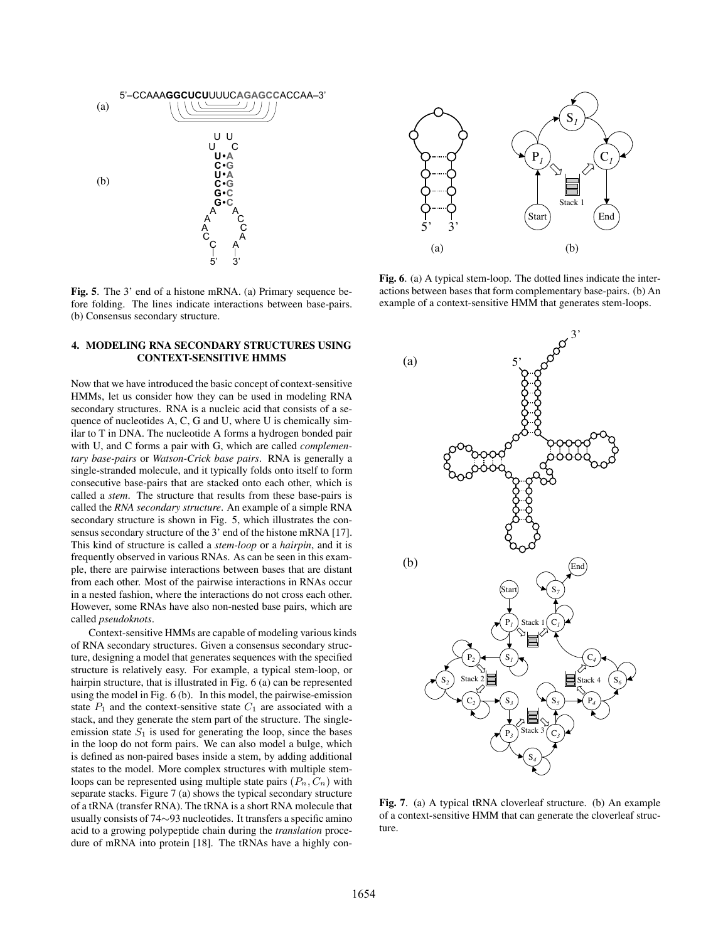

**Fig. 5**. The 3' end of a histone mRNA. (a) Primary sequence before folding. The lines indicate interactions between base-pairs. (b) Consensus secondary structure.

## **4. MODELING RNA SECONDARY STRUCTURES USING CONTEXT-SENSITIVE HMMS**

Now that we have introduced the basic concept of context-sensitive HMMs, let us consider how they can be used in modeling RNA secondary structures. RNA is a nucleic acid that consists of a sequence of nucleotides A, C, G and U, where U is chemically similar to T in DNA. The nucleotide A forms a hydrogen bonded pair with U, and C forms a pair with G, which are called *complementary base-pairs* or *Watson-Crick base pairs*. RNA is generally a single-stranded molecule, and it typically folds onto itself to form consecutive base-pairs that are stacked onto each other, which is called a *stem*. The structure that results from these base-pairs is called the *RNA secondary structure*. An example of a simple RNA secondary structure is shown in Fig. 5, which illustrates the consensus secondary structure of the 3' end of the histone mRNA [17]. This kind of structure is called a *stem-loop* or a *hairpin*, and it is frequently observed in various RNAs. As can be seen in this example, there are pairwise interactions between bases that are distant from each other. Most of the pairwise interactions in RNAs occur in a nested fashion, where the interactions do not cross each other. However, some RNAs have also non-nested base pairs, which are called *pseudoknots*.

Context-sensitive HMMs are capable of modeling various kinds of RNA secondary structures. Given a consensus secondary structure, designing a model that generates sequences with the specified structure is relatively easy. For example, a typical stem-loop, or hairpin structure, that is illustrated in Fig. 6 (a) can be represented using the model in Fig. 6 (b). In this model, the pairwise-emission state  $P_1$  and the context-sensitive state  $C_1$  are associated with a stack, and they generate the stem part of the structure. The singleemission state  $S_1$  is used for generating the loop, since the bases in the loop do not form pairs. We can also model a bulge, which is defined as non-paired bases inside a stem, by adding additional states to the model. More complex structures with multiple stemloops can be represented using multiple state pairs  $(P_n, C_n)$  with separate stacks. Figure 7 (a) shows the typical secondary structure of a tRNA (transfer RNA). The tRNA is a short RNA molecule that usually consists of 74∼93 nucleotides. It transfers a specific amino acid to a growing polypeptide chain during the *translation* procedure of mRNA into protein [18]. The tRNAs have a highly con-



**Fig. 6**. (a) A typical stem-loop. The dotted lines indicate the interactions between bases that form complementary base-pairs. (b) An example of a context-sensitive HMM that generates stem-loops.



**Fig. 7**. (a) A typical tRNA cloverleaf structure. (b) An example of a context-sensitive HMM that can generate the cloverleaf structure.